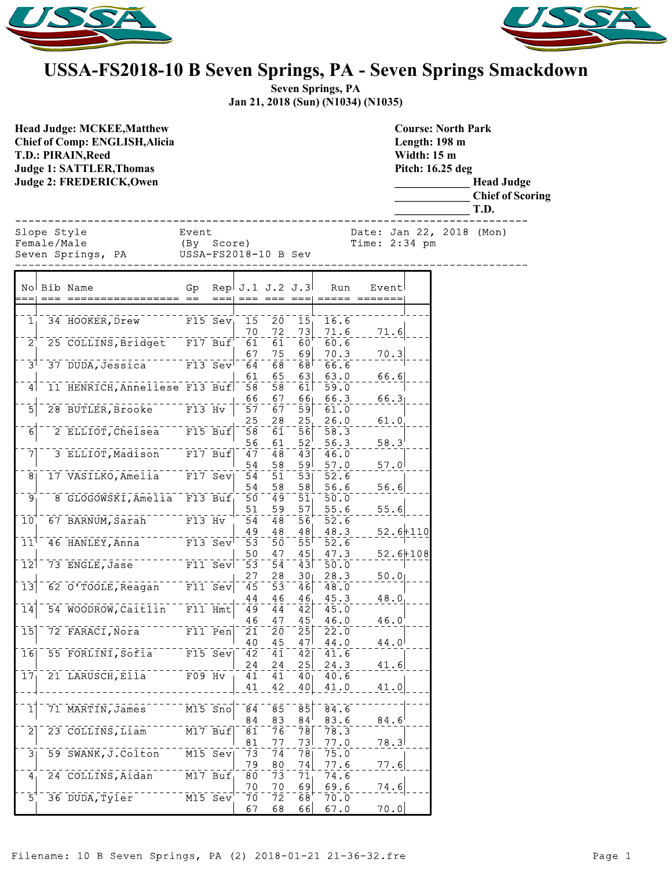



## **USSA-FS2018-10 B Seven Springs, PA - Seven Springs Smackdown**

**Seven Springs, PA Jan 21, 2018 (Sun) (N1034) (N1035)**

**Course: North Park**

**Head Judge: MCKEE,Matthew Chief of Comp: ENGLISH,Alicia T.D.: PIRAIN,Reed Judge 1: SATTLER,Thomas Judge 2: FREDERICK,Owen** 

**Length: 198 m Width: 15 m Pitch: 16.25 deg \_\_\_\_\_\_\_\_\_\_\_\_\_ Head Judge \_\_\_\_\_\_\_\_\_\_\_\_\_ Chief of Scoring \_\_\_\_\_\_\_\_\_\_\_\_\_ T.D.** ------------------------------------------------------------------------------ Slope Style Event Date: Jan 22, 2018 (Mon) Female/Male (By Score) Time: 2:34 pm Seven Springs, PA USSA-FS2018-10 B Sev ------------------------------------------------------------------------------ No Bib Name Gp Rep J.1 J.2 J.3 Run Event === === ================= == === === === === ===== ======= 1 34 HOOKER, Drew F15 Sev 15 20 15 16.6<br>70 72 73 71.6  $\frac{70}{61}$  -  $\frac{72}{61}$  -  $\frac{73}{60}$  -  $\frac{71.6}{60.6}$  - - -  $\frac{71.6}{60}$ 2 25 COLLINS, Bridget F17 Buf 61 61 60 67 75 69 70.3 70.3  $3^{\dagger}$  37 DUDA, Jessica F13 Sev 64 68 68 68 66.6  $\frac{61}{58}$  -  $\frac{65}{58}$  -  $\frac{63}{61}$  -  $\frac{63.0}{59.0}$  - - -  $\frac{66.6}{59.0}$ 4 11 HENRICH, Anneliese F13 Buf 58 58 61 59.0 66 67 66 66.3 66.3 5 28 BUTLER, Brooke F13 Hv 57 67 59 61.0  $25$  28  $25$  26.0 61.0 6 2 ELLIOT, Chelsea F15 Buf 58 61 56 58.3 56  $61$  52<sup>'</sup> 56.3 58.3 7 3 ELLIOT, Madison F17 Buf  $47 - 48 - 43$  46.0 54 58 59 57.0 57.0<br>54 51 53 52.6 8 17 VASILKO, Amelia F17 Sev 54 51 53 52.6 54 58 58 56.6 56.6 9 8 GLOGOWSKI, Amelia F13 Buf 50 49 51 50.0 51 59 57 55.6 55.6 10 67 BARNUM, Sarah F13 Hv 54 48 56 52.6  $\frac{49}{53}$  -  $\frac{48}{50}$  -  $\frac{48}{55}$  -  $\frac{48.3}{52.6}$  - - - 52.6+110  $11^{\dagger}$  46 HANLEY, Anna F13 Sev 53 50 55 52.6  $\frac{50}{53} - \frac{47}{54} - \frac{45}{43} - \frac{47}{50} - \frac{3}{50} - \frac{52}{50} + \frac{6+108}{50}$ 12 73 ENGLE, Jase F11 Sev 53 54 43 50.0  $\frac{27}{45}$   $\frac{28}{53}$   $\frac{30}{46}$   $\frac{28.3}{48.0}$   $\frac{50.0}{1}$ 13 62 O'TOOLE, Reagan F11 Sev 45 53 46 48.0  $\frac{44}{49}$  -  $\frac{46}{44}$  -  $\frac{46}{42}$  -  $\frac{45.3}{45.0}$  -  $\frac{48.0}{48}$ 14 54 WOODROW, Caitlin F11 Hmt 49 44 42 45.0  $\frac{46}{21}$  -  $\frac{47}{20}$  -  $\frac{45}{25}$  -  $\frac{46.0}{22.0}$  - - -  $\frac{46.0}{21}$ 15 72 FARACI, Nora F11 Pen 21 20 25 22.0  $\frac{40}{42}$  -  $\frac{45}{41}$  -  $\frac{47}{42}$  -  $\frac{44}{41}$ , 6 - - -  $\frac{44}{4}$ 16 55 FORLINI, Sofia F15 Sev 42 41 42 41.6  $\frac{24}{41}$  -  $\frac{24}{41}$  -  $\frac{25}{40}$  -  $\frac{24}{40}$  -  $\frac{3}{6}$  - - -  $\frac{41.6}{40}$ 17 21 LARUSCH, Ella F09 Hv 41 41 40  $41 - 42 - 40 - 41.0 - 41.0$  $1$  71 MARTIN, James M15 Sno 84 83 84 83.6  $\frac{84}{81}$  -  $\frac{83}{76}$  -  $\frac{84}{78}$  -  $\frac{83.6}{78.3}$  - - -  $\frac{84.6}{78}$  $2$ <sup>-23</sup> COLLINS, Liam M17 Buf 81 77 73 77.0 78.3<br>73 74 78 75.0 3 59 SWANK, J.Colton M15 Sev 73 74 78 75.0  $\frac{79}{80}$  -  $\frac{80}{73}$  -  $\frac{74}{71}$  -  $\frac{77.6}{74.6}$  - - -  $\frac{77.6}{1}$ 4 24 COLLINS, Aidan M17 Buf, 80 73 71  $\frac{70}{70}$  -  $\frac{70}{72}$  -  $\frac{69}{68}$  -  $\frac{69.6}{70.0}$  - - -  $\frac{74.6}{72}$ 

 $67.0$   $70.0$ 

 $\left[\begin{array}{cc} 5^+ & 36 \ \end{array}\right]$  duba,  $\left[\begin{array}{cc} 1.70 & 0.72 \ 0.70 & 0.02 \ 0.00 & 0.02 \end{array}\right]$   $\left[\begin{array}{cc} 5 & 0.72 & 0.62 \ 0.7 & 0.62 & 0.66 \end{array}\right]$